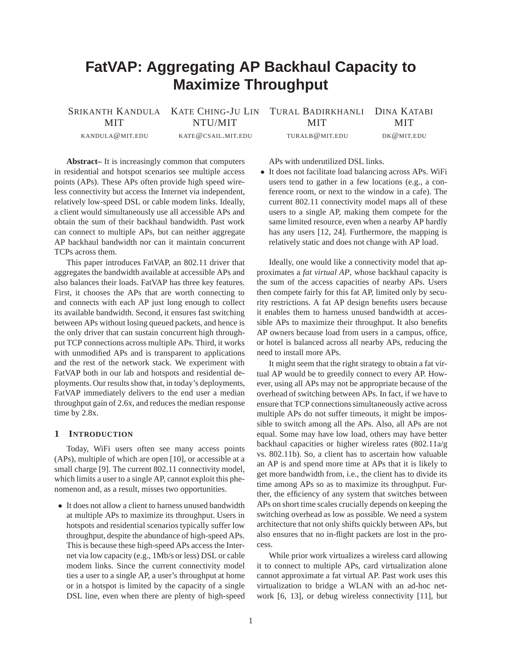# **FatVAP: Aggregating AP Backhaul Capacity to Maximize Throughput**

SRIKANTH KANDULA KATE CHING-JU LIN TURAL BADIRKHANLI DINA KATABI MIT NTU/MIT MIT MIT

KANDULA@MIT.EDU KATE@CSAIL.MIT.EDU TURALB@MIT.EDU DK@MIT.EDU

**Abstract–** It is increasingly common that computers in residential and hotspot scenarios see multiple access points (APs). These APs often provide high speed wireless connectivity but access the Internet via independent, relatively low-speed DSL or cable modem links. Ideally, a client would simultaneously use all accessible APs and obtain the sum of their backhaul bandwidth. Past work can connect to multiple APs, but can neither aggregate AP backhaul bandwidth nor can it maintain concurrent TCPs across them.

This paper introduces FatVAP, an 802.11 driver that aggregates the bandwidth available at accessible APs and also balances their loads. FatVAP has three key features. First, it chooses the APs that are worth connecting to and connects with each AP just long enough to collect its available bandwidth. Second, it ensures fast switching between APs without losing queued packets, and hence is the only driver that can sustain concurrent high throughput TCP connections across multiple APs. Third, it works with unmodified APs and is transparent to applications and the rest of the network stack. We experiment with FatVAP both in our lab and hotspots and residential deployments. Our results show that, in today's deployments, FatVAP immediately delivers to the end user a median throughput gain of 2.6x, and reduces the median response time by 2.8x.

# **1 INTRODUCTION**

Today, WiFi users often see many access points (APs), multiple of which are open [10], or accessible at a small charge [9]. The current 802.11 connectivity model, which limits a user to a single AP, cannot exploit this phenomenon and, as a result, misses two opportunities.

• It does not allow a client to harness unused bandwidth at multiple APs to maximize its throughput. Users in hotspots and residential scenarios typically suffer low throughput, despite the abundance of high-speed APs. This is because these high-speed APs access the Internet via low capacity (e.g., 1Mb/s or less) DSL or cable modem links. Since the current connectivity model ties a user to a single AP, a user's throughput at home or in a hotspot is limited by the capacity of a single DSL line, even when there are plenty of high-speed

APs with underutilized DSL links.

• It does not facilitate load balancing across APs. WiFi users tend to gather in a few locations (e.g., a conference room, or next to the window in a cafe). The current 802.11 connectivity model maps all of these users to a single AP, making them compete for the same limited resource, even when a nearby AP hardly has any users [12, 24]. Furthermore, the mapping is relatively static and does not change with AP load.

Ideally, one would like a connectivity model that approximates a *fat virtual AP*, whose backhaul capacity is the sum of the access capacities of nearby APs. Users then compete fairly for this fat AP, limited only by security restrictions. A fat AP design benefits users because it enables them to harness unused bandwidth at accessible APs to maximize their throughput. It also benefits AP owners because load from users in a campus, office, or hotel is balanced across all nearby APs, reducing the need to install more APs.

It might seem that the right strategy to obtain a fat virtual AP would be to greedily connect to every AP. However, using all APs may not be appropriate because of the overhead of switching between APs. In fact, if we have to ensure that TCP connections simultaneously active across multiple APs do not suffer timeouts, it might be impossible to switch among all the APs. Also, all APs are not equal. Some may have low load, others may have better backhaul capacities or higher wireless rates (802.11a/g vs. 802.11b). So, a client has to ascertain how valuable an AP is and spend more time at APs that it is likely to get more bandwidth from, i.e., the client has to divide its time among APs so as to maximize its throughput. Further, the efficiency of any system that switches between APs on short time scales crucially depends on keeping the switching overhead as low as possible. We need a system architecture that not only shifts quickly between APs, but also ensures that no in-flight packets are lost in the process.

While prior work virtualizes a wireless card allowing it to connect to multiple APs, card virtualization alone cannot approximate a fat virtual AP. Past work uses this virtualization to bridge a WLAN with an ad-hoc network [6, 13], or debug wireless connectivity [11], but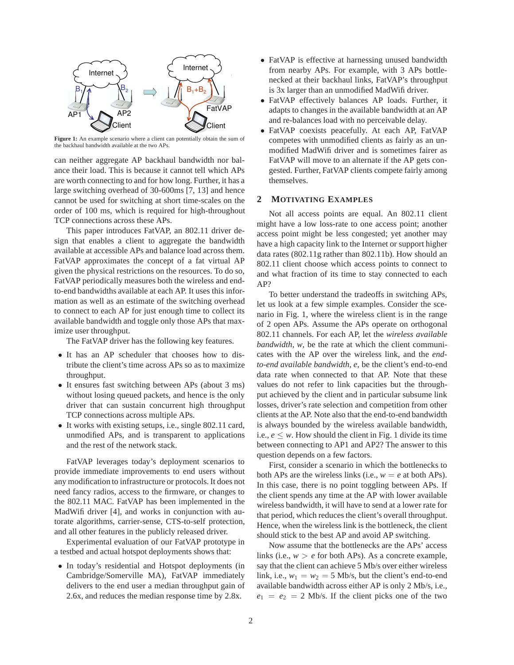

**Figure 1:** An example scenario where a client can potentially obtain the sum of the backhaul bandwidth available at the two APs.

can neither aggregate AP backhaul bandwidth nor balance their load. This is because it cannot tell which APs are worth connecting to and for how long. Further, it has a large switching overhead of 30-600ms [7, 13] and hence cannot be used for switching at short time-scales on the order of 100 ms, which is required for high-throughout TCP connections across these APs.

This paper introduces FatVAP, an 802.11 driver design that enables a client to aggregate the bandwidth available at accessible APs and balance load across them. FatVAP approximates the concept of a fat virtual AP given the physical restrictions on the resources. To do so, FatVAP periodically measures both the wireless and endto-end bandwidths available at each AP. It uses this information as well as an estimate of the switching overhead to connect to each AP for just enough time to collect its available bandwidth and toggle only those APs that maximize user throughput.

The FatVAP driver has the following key features.

- It has an AP scheduler that chooses how to distribute the client's time across APs so as to maximize throughput.
- It ensures fast switching between APs (about 3 ms) without losing queued packets, and hence is the only driver that can sustain concurrent high throughput TCP connections across multiple APs.
- It works with existing setups, i.e., single 802.11 card, unmodified APs, and is transparent to applications and the rest of the network stack.

FatVAP leverages today's deployment scenarios to provide immediate improvements to end users without any modification to infrastructure or protocols. It does not need fancy radios, access to the firmware, or changes to the 802.11 MAC. FatVAP has been implemented in the MadWifi driver [4], and works in conjunction with autorate algorithms, carrier-sense, CTS-to-self protection, and all other features in the publicly released driver.

Experimental evaluation of our FatVAP prototype in a testbed and actual hotspot deployments shows that:

• In today's residential and Hotspot deployments (in Cambridge/Somerville MA), FatVAP immediately delivers to the end user a median throughput gain of 2.6x, and reduces the median response time by 2.8x.

- FatVAP is effective at harnessing unused bandwidth from nearby APs. For example, with 3 APs bottlenecked at their backhaul links, FatVAP's throughput is 3x larger than an unmodified MadWifi driver.
- FatVAP effectively balances AP loads. Further, it adapts to changes in the available bandwidth at an AP and re-balances load with no perceivable delay.
- FatVAP coexists peacefully. At each AP, FatVAP competes with unmodified clients as fairly as an unmodified MadWifi driver and is sometimes fairer as FatVAP will move to an alternate if the AP gets congested. Further, FatVAP clients compete fairly among themselves.

## **2 MOTIVATING EXAMPLES**

Not all access points are equal. An 802.11 client might have a low loss-rate to one access point; another access point might be less congested; yet another may have a high capacity link to the Internet or support higher data rates (802.11g rather than 802.11b). How should an 802.11 client choose which access points to connect to and what fraction of its time to stay connected to each AP?

To better understand the tradeoffs in switching APs, let us look at a few simple examples. Consider the scenario in Fig. 1, where the wireless client is in the range of 2 open APs. Assume the APs operate on orthogonal 802.11 channels. For each AP, let the *wireless available bandwidth, w*, be the rate at which the client communicates with the AP over the wireless link, and the *endto-end available bandwidth, e*, be the client's end-to-end data rate when connected to that AP. Note that these values do not refer to link capacities but the throughput achieved by the client and in particular subsume link losses, driver's rate selection and competition from other clients at the AP. Note also that the end-to-end bandwidth is always bounded by the wireless available bandwidth, i.e.,  $e \leq w$ . How should the client in Fig. 1 divide its time between connecting to AP1 and AP2? The answer to this question depends on a few factors.

First, consider a scenario in which the bottlenecks to both APs are the wireless links (i.e.,  $w = e$  at both APs). In this case, there is no point toggling between APs. If the client spends any time at the AP with lower available wireless bandwidth, it will have to send at a lower rate for that period, which reduces the client's overall throughput. Hence, when the wireless link is the bottleneck, the client should stick to the best AP and avoid AP switching.

Now assume that the bottlenecks are the APs' access links (i.e.,  $w > e$  for both APs). As a concrete example, say that the client can achieve 5 Mb/s over either wireless link, i.e.,  $w_1 = w_2 = 5$  Mb/s, but the client's end-to-end available bandwidth across either AP is only 2 Mb/s, i.e.,  $e_1 = e_2 = 2$  Mb/s. If the client picks one of the two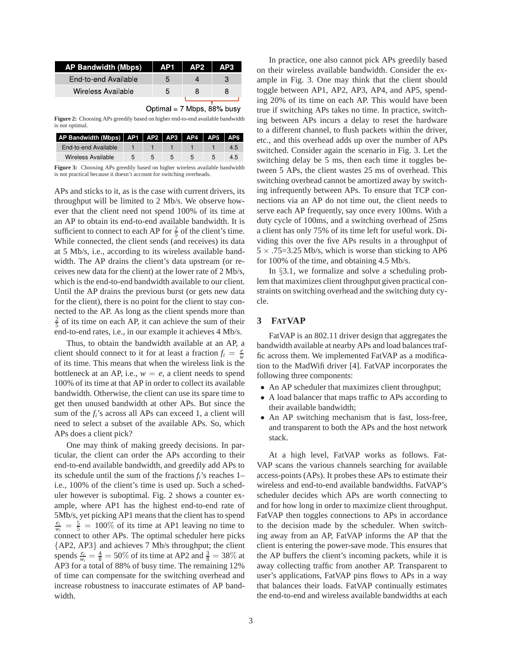| AP Bandwidth (Mbps)  | - AP1        | $AP2$ | AP3 |
|----------------------|--------------|-------|-----|
| End-to-end Available | $\mathbf{h}$ |       |     |
| Wireless Available   | 5            |       |     |
|                      |              |       |     |

Optimal =  $7$  Mbps,  $88\%$  busy

**Figure 2:** Choosing APs greedily based on higher end-to-end available bandwidth is not optimal.

| AP Bandwidth (Mbps)   AP1   AP2   AP3   AP4   AP5   AP6 |   |  |  |     |
|---------------------------------------------------------|---|--|--|-----|
| End-to-end Available                                    |   |  |  | 4.5 |
| Wireless Available                                      | ᡃ |  |  |     |

**Figure 3:** Choosing APs greedily based on higher wireless available bandwidth is not practical because it doesn't account for switching overheads.

APs and sticks to it, as is the case with current drivers, its throughput will be limited to 2 Mb/s. We observe however that the client need not spend 100% of its time at an AP to obtain its end-to-end available bandwidth. It is sufficient to connect to each AP for  $\frac{2}{5}$  of the client's time. While connected, the client sends (and receives) its data at 5 Mb/s, i.e., according to its wireless available bandwidth. The AP drains the client's data upstream (or receives new data for the client) at the lower rate of 2 Mb/s, which is the end-to-end bandwidth available to our client. Until the AP drains the previous burst (or gets new data for the client), there is no point for the client to stay connected to the AP. As long as the client spends more than  $\frac{2}{5}$  of its time on each AP, it can achieve the sum of their end-to-end rates, i.e., in our example it achieves 4 Mb/s.

Thus, to obtain the bandwidth available at an AP, a client should connect to it for at least a fraction  $f_i = \frac{e}{w}$ of its time. This means that when the wireless link is the bottleneck at an AP, i.e.,  $w = e$ , a client needs to spend 100% of its time at that AP in order to collect its available bandwidth. Otherwise, the client can use its spare time to get then unused bandwidth at other APs. But since the sum of the *fi*'s across all APs can exceed 1, a client will need to select a subset of the available APs. So, which APs does a client pick?

One may think of making greedy decisions. In particular, the client can order the APs according to their end-to-end available bandwidth, and greedily add APs to its schedule until the sum of the fractions  $f_i$ 's reaches 1– i.e., 100% of the client's time is used up. Such a scheduler however is suboptimal. Fig. 2 shows a counter example, where AP1 has the highest end-to-end rate of 5Mb/s, yet picking AP1 means that the client has to spend  $\frac{e_i}{w_i} = \frac{5}{5} = 100\%$  of its time at AP1 leaving no time to connect to other APs. The optimal scheduler here picks {AP2, AP3} and achieves 7 Mb/s throughput; the client spends  $\frac{e_i}{w_i} = \frac{4}{8} = 50\%$  of its time at AP2 and  $\frac{3}{8} = 38\%$  at AP3 for a total of 88% of busy time. The remaining 12% of time can compensate for the switching overhead and increase robustness to inaccurate estimates of AP bandwidth.

In practice, one also cannot pick APs greedily based on their wireless available bandwidth. Consider the example in Fig. 3. One may think that the client should toggle between AP1, AP2, AP3, AP4, and AP5, spending 20% of its time on each AP. This would have been true if switching APs takes no time. In practice, switching between APs incurs a delay to reset the hardware to a different channel, to flush packets within the driver, etc., and this overhead adds up over the number of APs switched. Consider again the scenario in Fig. 3. Let the switching delay be 5 ms, then each time it toggles between 5 APs, the client wastes 25 ms of overhead. This switching overhead cannot be amortized away by switching infrequently between APs. To ensure that TCP connections via an AP do not time out, the client needs to serve each AP frequently, say once every 100ms. With a duty cycle of 100ms, and a switching overhead of 25ms a client has only 75% of its time left for useful work. Dividing this over the five APs results in a throughput of  $5 \times .75 = 3.25$  Mb/s, which is worse than sticking to AP6 for 100% of the time, and obtaining 4.5 Mb/s.

In §3.1, we formalize and solve a scheduling problem that maximizes client throughput given practical constraints on switching overhead and the switching duty cycle.

## **3 FATVAP**

FatVAP is an 802.11 driver design that aggregates the bandwidth available at nearby APs and load balances traffic across them. We implemented FatVAP as a modification to the MadWifi driver [4]. FatVAP incorporates the following three components:

- An AP scheduler that maximizes client throughput;
- A load balancer that maps traffic to APs according to their available bandwidth;
- An AP switching mechanism that is fast, loss-free, and transparent to both the APs and the host network stack.

At a high level, FatVAP works as follows. Fat-VAP scans the various channels searching for available access-points (APs). It probes these APs to estimate their wireless and end-to-end available bandwidths. FatVAP's scheduler decides which APs are worth connecting to and for how long in order to maximize client throughput. FatVAP then toggles connections to APs in accordance to the decision made by the scheduler. When switching away from an AP, FatVAP informs the AP that the client is entering the power-save mode. This ensures that the AP buffers the client's incoming packets, while it is away collecting traffic from another AP. Transparent to user's applications, FatVAP pins flows to APs in a way that balances their loads. FatVAP continually estimates the end-to-end and wireless available bandwidths at each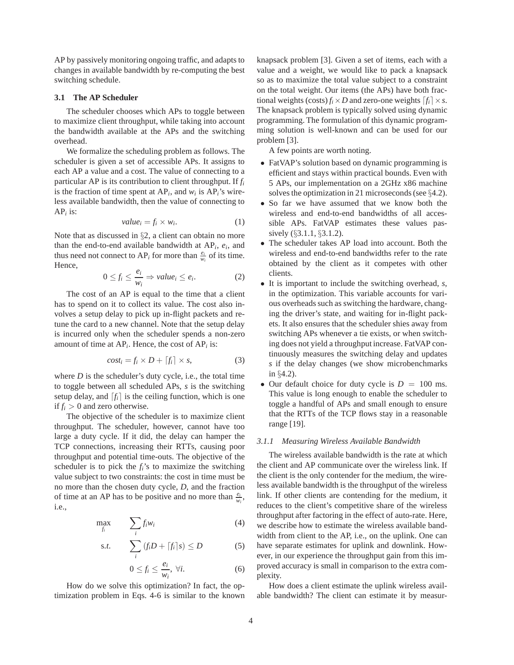AP by passively monitoring ongoing traffic, and adapts to changes in available bandwidth by re-computing the best switching schedule.

## **3.1 The AP Scheduler**

The scheduler chooses which APs to toggle between to maximize client throughput, while taking into account the bandwidth available at the APs and the switching overhead.

We formalize the scheduling problem as follows. The scheduler is given a set of accessible APs. It assigns to each AP a value and a cost. The value of connecting to a particular AP is its contribution to client throughput. If *f<sup>i</sup>* is the fraction of time spent at  $AP_i$ , and  $w_i$  is  $AP_i$ 's wireless available bandwidth, then the value of connecting to AP*<sup>i</sup>* is:

$$
value_i = f_i \times w_i. \tag{1}
$$

Note that as discussed in §2, a client can obtain no more than the end-to-end available bandwidth at  $AP_i$ ,  $e_i$ , and thus need not connect to AP<sub>*i*</sub> for more than  $\frac{e_i}{w_i}$  of its time. Hence,

$$
0 \le f_i \le \frac{e_i}{w_i} \Rightarrow value_i \le e_i. \tag{2}
$$

The cost of an AP is equal to the time that a client has to spend on it to collect its value. The cost also involves a setup delay to pick up in-flight packets and retune the card to a new channel. Note that the setup delay is incurred only when the scheduler spends a non-zero amount of time at  $AP_i$ . Hence, the cost of  $AP_i$  is:

$$
cost_i = f_i \times D + [f_i] \times s,
$$
 (3)

where  $D$  is the scheduler's duty cycle, i.e., the total time to toggle between all scheduled APs, *s* is the switching setup delay, and  $[f_i]$  is the ceiling function, which is one if  $f_i > 0$  and zero otherwise.

The objective of the scheduler is to maximize client throughput. The scheduler, however, cannot have too large a duty cycle. If it did, the delay can hamper the TCP connections, increasing their RTTs, causing poor throughput and potential time-outs. The objective of the scheduler is to pick the  $f_i$ 's to maximize the switching value subject to two constraints: the cost in time must be no more than the chosen duty cycle, *D*, and the fraction of time at an AP has to be positive and no more than  $\frac{e_i}{w_i}$ , i.e.,

$$
\max_{f_i} \qquad \sum_i f_i w_i \tag{4}
$$

$$
s.t. \qquad \sum_{i} \left( f_i D + \left[ f_i \right] s \right) \le D \tag{5}
$$

$$
0 \le f_i \le \frac{e_i}{w_i}, \ \forall i. \tag{6}
$$

How do we solve this optimization? In fact, the optimization problem in Eqs. 4-6 is similar to the known knapsack problem [3]. Given a set of items, each with a value and a weight, we would like to pack a knapsack so as to maximize the total value subject to a constraint on the total weight. Our items (the APs) have both fractional weights (costs)  $f_i \times D$  and zero-one weights  $[f_i] \times s$ . The knapsack problem is typically solved using dynamic programming. The formulation of this dynamic programming solution is well-known and can be used for our problem [3].

A few points are worth noting.

- FatVAP's solution based on dynamic programming is efficient and stays within practical bounds. Even with 5 APs, our implementation on a 2GHz x86 machine solves the optimization in 21 microseconds (see §4.2).
- So far we have assumed that we know both the wireless and end-to-end bandwidths of all accessible APs. FatVAP estimates these values passively (§3.1.1, §3.1.2).
- The scheduler takes AP load into account. Both the wireless and end-to-end bandwidths refer to the rate obtained by the client as it competes with other clients.
- It is important to include the switching overhead, *s*, in the optimization. This variable accounts for various overheads such as switching the hardware, changing the driver's state, and waiting for in-flight packets. It also ensures that the scheduler shies away from switching APs whenever a tie exists, or when switching does not yield a throughput increase. FatVAP continuously measures the switching delay and updates *s* if the delay changes (we show microbenchmarks in §4.2).
- Our default choice for duty cycle is  $D = 100$  ms. This value is long enough to enable the scheduler to toggle a handful of APs and small enough to ensure that the RTTs of the TCP flows stay in a reasonable range [19].

## *3.1.1 Measuring Wireless Available Bandwidth*

The wireless available bandwidth is the rate at which the client and AP communicate over the wireless link. If the client is the only contender for the medium, the wireless available bandwidth is the throughput of the wireless link. If other clients are contending for the medium, it reduces to the client's competitive share of the wireless throughput after factoring in the effect of auto-rate. Here, we describe how to estimate the wireless available bandwidth from client to the AP, i.e., on the uplink. One can have separate estimates for uplink and downlink. However, in our experience the throughput gain from this improved accuracy is small in comparison to the extra complexity.

How does a client estimate the uplink wireless available bandwidth? The client can estimate it by measur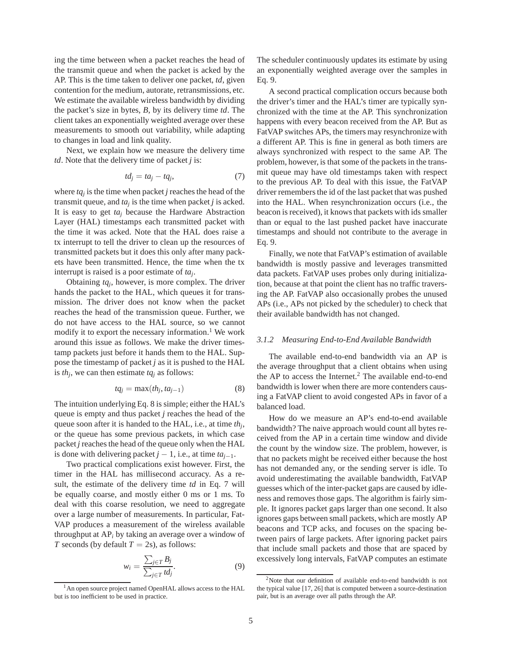ing the time between when a packet reaches the head of the transmit queue and when the packet is acked by the AP. This is the time taken to deliver one packet, *td*, given contention for the medium, autorate, retransmissions, etc. We estimate the available wireless bandwidth by dividing the packet's size in bytes, *B*, by its delivery time *td*. The client takes an exponentially weighted average over these measurements to smooth out variability, while adapting to changes in load and link quality.

Next, we explain how we measure the delivery time *td*. Note that the delivery time of packet *j* is:

$$
td_j = ta_j - tq_j, \tag{7}
$$

where *tq<sup>j</sup>* is the time when packet *j* reaches the head of the transmit queue, and  $ta_j$  is the time when packet *j* is acked. It is easy to get  $ta<sub>i</sub>$  because the Hardware Abstraction Layer (HAL) timestamps each transmitted packet with the time it was acked. Note that the HAL does raise a tx interrupt to tell the driver to clean up the resources of transmitted packets but it does this only after many packets have been transmitted. Hence, the time when the tx interrupt is raised is a poor estimate of *ta<sup>j</sup>* .

Obtaining *tq<sup>j</sup>* , however, is more complex. The driver hands the packet to the HAL, which queues it for transmission. The driver does not know when the packet reaches the head of the transmission queue. Further, we do not have access to the HAL source, so we cannot modify it to export the necessary information.<sup>1</sup> We work around this issue as follows. We make the driver timestamp packets just before it hands them to the HAL. Suppose the timestamp of packet *j* as it is pushed to the HAL is  $th_j$ , we can then estimate  $tq_j$  as follows:

$$
tq_j = \max(th_j, ta_{j-1})\tag{8}
$$

The intuition underlying Eq. 8 is simple; either the HAL's queue is empty and thus packet *j* reaches the head of the queue soon after it is handed to the HAL, i.e., at time *th<sup>j</sup>* , or the queue has some previous packets, in which case packet *j* reaches the head of the queue only when the HAL is done with delivering packet  $j - 1$ , i.e., at time  $ta_{j-1}$ .

Two practical complications exist however. First, the timer in the HAL has millisecond accuracy. As a result, the estimate of the delivery time *td* in Eq. 7 will be equally coarse, and mostly either 0 ms or 1 ms. To deal with this coarse resolution, we need to aggregate over a large number of measurements. In particular, Fat-VAP produces a measurement of the wireless available throughput at AP*<sup>i</sup>* by taking an average over a window of *T* seconds (by default  $T = 2s$ ), as follows:

$$
w_i = \frac{\sum_{j \in T} B_j}{\sum_{j \in T} t d_j}.
$$
\n(9)

The scheduler continuously updates its estimate by using an exponentially weighted average over the samples in Eq. 9.

A second practical complication occurs because both the driver's timer and the HAL's timer are typically synchronized with the time at the AP. This synchronization happens with every beacon received from the AP. But as FatVAP switches APs, the timers may resynchronize with a different AP. This is fine in general as both timers are always synchronized with respect to the same AP. The problem, however, is that some of the packets in the transmit queue may have old timestamps taken with respect to the previous AP. To deal with this issue, the FatVAP driver remembers the id of the last packet that was pushed into the HAL. When resynchronization occurs (i.e., the beacon is received), it knows that packets with ids smaller than or equal to the last pushed packet have inaccurate timestamps and should not contribute to the average in Eq. 9.

Finally, we note that FatVAP's estimation of available bandwidth is mostly passive and leverages transmitted data packets. FatVAP uses probes only during initialization, because at that point the client has no traffic traversing the AP. FatVAP also occasionally probes the unused APs (i.e., APs not picked by the scheduler) to check that their available bandwidth has not changed.

#### *3.1.2 Measuring End-to-End Available Bandwidth*

The available end-to-end bandwidth via an AP is the average throughput that a client obtains when using the AP to access the Internet.<sup>2</sup> The available end-to-end bandwidth is lower when there are more contenders causing a FatVAP client to avoid congested APs in favor of a balanced load.

How do we measure an AP's end-to-end available bandwidth? The naive approach would count all bytes received from the AP in a certain time window and divide the count by the window size. The problem, however, is that no packets might be received either because the host has not demanded any, or the sending server is idle. To avoid underestimating the available bandwidth, FatVAP guesses which of the inter-packet gaps are caused by idleness and removes those gaps. The algorithm is fairly simple. It ignores packet gaps larger than one second. It also ignores gaps between small packets, which are mostly AP beacons and TCP acks, and focuses on the spacing between pairs of large packets. After ignoring packet pairs that include small packets and those that are spaced by excessively long intervals, FatVAP computes an estimate

<sup>&</sup>lt;sup>1</sup>An open source project named OpenHAL allows access to the HAL but is too inefficient to be used in practice.

<sup>2</sup>Note that our definition of available end-to-end bandwidth is not the typical value [17, 26] that is computed between a source-destination pair, but is an average over all paths through the AP.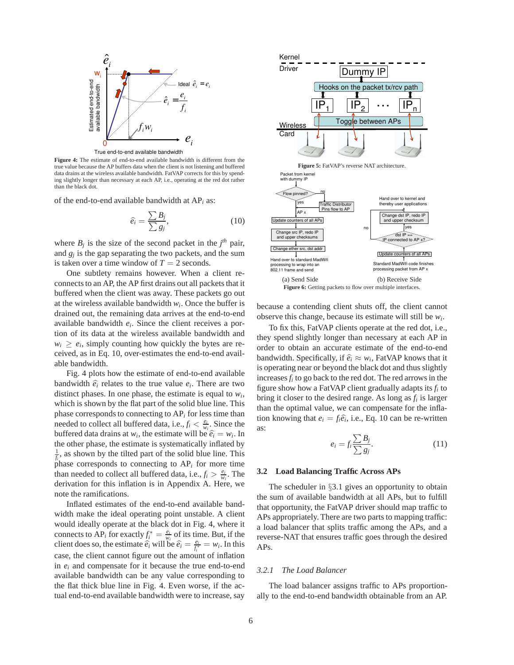

True end-to-end available bandwidth

**Figure 4:** The estimate of end-to-end available bandwidth is different from the true value because the AP buffers data when the client is not listening and buffered data drains at the wireless available bandwidth. FatVAP corrects for this by spending slightly longer than necessary at each AP, i.e., operating at the red dot rather than the black dot.

of the end-to-end available bandwidth at AP*<sup>i</sup>* as:

$$
\widehat{e_i} = \frac{\sum B_j}{\sum g_j},\tag{10}
$$

where  $B_j$  is the size of the second packet in the  $j<sup>th</sup>$  pair, and  $g_j$  is the gap separating the two packets, and the sum is taken over a time window of  $T = 2$  seconds.

One subtlety remains however. When a client reconnects to an AP, the AP first drains out all packets that it buffered when the client was away. These packets go out at the wireless available bandwidth  $w_i$ . Once the buffer is drained out, the remaining data arrives at the end-to-end available bandwidth *e<sup>i</sup>* . Since the client receives a portion of its data at the wireless available bandwidth and  $w_i \ge e_i$ , simply counting how quickly the bytes are received, as in Eq. 10, over-estimates the end-to-end available bandwidth.

Fig. 4 plots how the estimate of end-to-end available bandwidth  $\hat{e}_i$  relates to the true value  $e_i$ . There are two distinct phases. In one phase, the estimate is equal to  $w_i$ , which is shown by the flat part of the solid blue line. This phase corresponds to connecting to AP*<sup>i</sup>* for less time than needed to collect all buffered data, i.e.,  $f_i < \frac{e_i}{w_i}$ . Since the buffered data drains at  $w_i$ , the estimate will be  $\hat{e}_i = w_i$ . In the other phase, the estimate is systematically inflated by  $\frac{1}{f_i}$ , as shown by the tilted part of the solid blue line. This phase corresponds to connecting to  $AP_i$  for more time than needed to collect all buffered data, i.e.,  $f_i > \frac{e_i}{w_i}$ . The derivation for this inflation is in Appendix A. Here, we note the ramifications.

Inflated estimates of the end-to-end available bandwidth make the ideal operating point unstable. A client would ideally operate at the black dot in Fig. 4, where it connects to  $AP_i$  for exactly  $f_i^* = \frac{e_i}{w_i}$  of its time. But, if the client does so, the estimate  $\hat{e}_i$  will be  $\hat{e}_i = \frac{e_i}{f_i^*} = w_i$ . In this case, the client cannot figure out the amount of inflation in  $e_i$  and compensate for it because the true end-to-end available bandwidth can be any value corresponding to the flat thick blue line in Fig. 4. Even worse, if the actual end-to-end available bandwidth were to increase, say







because a contending client shuts off, the client cannot observe this change, because its estimate will still be *w<sup>i</sup>* .

To fix this, FatVAP clients operate at the red dot, i.e., they spend slightly longer than necessary at each AP in order to obtain an accurate estimate of the end-to-end bandwidth. Specifically, if  $\hat{e}_i \approx w_i$ , FatVAP knows that it is operating near or beyond the black dot and thus slightly increases*f<sup>i</sup>* to go back to the red dot. The red arrows in the figure show how a FatVAP client gradually adapts its *f<sup>i</sup>* to bring it closer to the desired range. As long as *f<sup>i</sup>* is larger than the optimal value, we can compensate for the inflation knowing that  $e_i = f_i \hat{e}_i$ , i.e., Eq. 10 can be re-written as:

$$
e_i = f_i \frac{\sum B_j}{\sum g_j}.\tag{11}
$$

#### **3.2 Load Balancing Traffic Across APs**

The scheduler in §3.1 gives an opportunity to obtain the sum of available bandwidth at all APs, but to fulfill that opportunity, the FatVAP driver should map traffic to APs appropriately. There are two parts to mapping traffic: a load balancer that splits traffic among the APs, and a reverse-NAT that ensures traffic goes through the desired APs.

#### *3.2.1 The Load Balancer*

The load balancer assigns traffic to APs proportionally to the end-to-end bandwidth obtainable from an AP.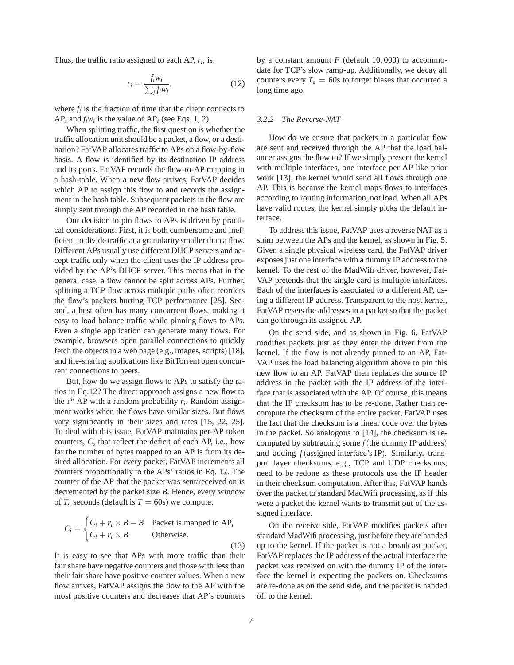Thus, the traffic ratio assigned to each AP, *r<sup>i</sup>* , is:

$$
r_i = \frac{f_i w_i}{\sum_j f_j w_j},\tag{12}
$$

where  $f_i$  is the fraction of time that the client connects to  $AP_i$  and  $f_iw_i$  is the value of  $AP_i$  (see Eqs. 1, 2).

When splitting traffic, the first question is whether the traffic allocation unit should be a packet, a flow, or a destination? FatVAP allocates traffic to APs on a flow-by-flow basis. A flow is identified by its destination IP address and its ports. FatVAP records the flow-to-AP mapping in a hash-table. When a new flow arrives, FatVAP decides which AP to assign this flow to and records the assignment in the hash table. Subsequent packets in the flow are simply sent through the AP recorded in the hash table.

Our decision to pin flows to APs is driven by practical considerations. First, it is both cumbersome and inefficient to divide traffic at a granularity smaller than a flow. Different APs usually use different DHCP servers and accept traffic only when the client uses the IP address provided by the AP's DHCP server. This means that in the general case, a flow cannot be split across APs. Further, splitting a TCP flow across multiple paths often reorders the flow's packets hurting TCP performance [25]. Second, a host often has many concurrent flows, making it easy to load balance traffic while pinning flows to APs. Even a single application can generate many flows. For example, browsers open parallel connections to quickly fetch the objects in a web page (e.g., images, scripts) [18], and file-sharing applications like BitTorrent open concurrent connections to peers.

But, how do we assign flows to APs to satisfy the ratios in Eq.12? The direct approach assigns a new flow to the i<sup>th</sup> AP with a random probability  $r_i$ . Random assignment works when the flows have similar sizes. But flows vary significantly in their sizes and rates [15, 22, 25]. To deal with this issue, FatVAP maintains per-AP token counters, *C*, that reflect the deficit of each AP, i.e., how far the number of bytes mapped to an AP is from its desired allocation. For every packet, FatVAP increments all counters proportionally to the APs' ratios in Eq. 12. The counter of the AP that the packet was sent/received on is decremented by the packet size *B*. Hence, every window of  $T_c$  seconds (default is  $T = 60$ s) we compute:

$$
C_i = \begin{cases} C_i + r_i \times B - B & \text{Packet is mapped to AP}_i \\ C_i + r_i \times B & \text{Otherwise.} \end{cases}
$$
 (13)

It is easy to see that APs with more traffic than their fair share have negative counters and those with less than their fair share have positive counter values. When a new flow arrives, FatVAP assigns the flow to the AP with the most positive counters and decreases that AP's counters by a constant amount  $F$  (default 10,000) to accommodate for TCP's slow ramp-up. Additionally, we decay all counters every  $T_c = 60$ s to forget biases that occurred a long time ago.

#### *3.2.2 The Reverse-NAT*

How do we ensure that packets in a particular flow are sent and received through the AP that the load balancer assigns the flow to? If we simply present the kernel with multiple interfaces, one interface per AP like prior work [13], the kernel would send all flows through one AP. This is because the kernel maps flows to interfaces according to routing information, not load. When all APs have valid routes, the kernel simply picks the default interface.

To address this issue, FatVAP uses a reverse NAT as a shim between the APs and the kernel, as shown in Fig. 5. Given a single physical wireless card, the FatVAP driver exposes just one interface with a dummy IP address to the kernel. To the rest of the MadWifi driver, however, Fat-VAP pretends that the single card is multiple interfaces. Each of the interfaces is associated to a different AP, using a different IP address. Transparent to the host kernel, FatVAP resets the addresses in a packet so that the packet can go through its assigned AP.

On the send side, and as shown in Fig. 6, FatVAP modifies packets just as they enter the driver from the kernel. If the flow is not already pinned to an AP, Fat-VAP uses the load balancing algorithm above to pin this new flow to an AP. FatVAP then replaces the source IP address in the packet with the IP address of the interface that is associated with the AP. Of course, this means that the IP checksum has to be re-done. Rather than recompute the checksum of the entire packet, FatVAP uses the fact that the checksum is a linear code over the bytes in the packet. So analogous to [14], the checksum is recomputed by subtracting some  $f$ (the dummy IP address) and adding *f*(assigned interface's IP). Similarly, transport layer checksums, e.g., TCP and UDP checksums, need to be redone as these protocols use the IP header in their checksum computation. After this, FatVAP hands over the packet to standard MadWifi processing, as if this were a packet the kernel wants to transmit out of the assigned interface.

On the receive side, FatVAP modifies packets after standard MadWifi processing, just before they are handed up to the kernel. If the packet is not a broadcast packet, FatVAP replaces the IP address of the actual interface the packet was received on with the dummy IP of the interface the kernel is expecting the packets on. Checksums are re-done as on the send side, and the packet is handed off to the kernel.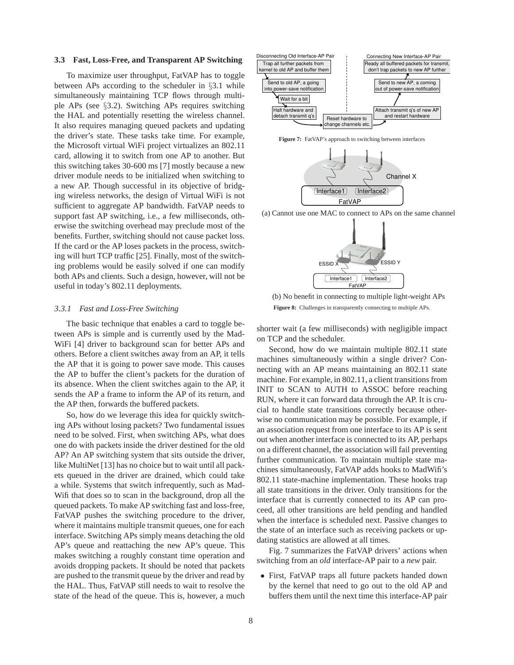## **3.3 Fast, Loss-Free, and Transparent AP Switching**

To maximize user throughput, FatVAP has to toggle between APs according to the scheduler in §3.1 while simultaneously maintaining TCP flows through multiple APs (see §3.2). Switching APs requires switching the HAL and potentially resetting the wireless channel. It also requires managing queued packets and updating the driver's state. These tasks take time. For example, the Microsoft virtual WiFi project virtualizes an 802.11 card, allowing it to switch from one AP to another. But this switching takes 30-600 ms [7] mostly because a new driver module needs to be initialized when switching to a new AP. Though successful in its objective of bridging wireless networks, the design of Virtual WiFi is not sufficient to aggregate AP bandwidth. FatVAP needs to support fast AP switching, i.e., a few milliseconds, otherwise the switching overhead may preclude most of the benefits. Further, switching should not cause packet loss. If the card or the AP loses packets in the process, switching will hurt TCP traffic [25]. Finally, most of the switching problems would be easily solved if one can modify both APs and clients. Such a design, however, will not be useful in today's 802.11 deployments.

#### *3.3.1 Fast and Loss-Free Switching*

The basic technique that enables a card to toggle between APs is simple and is currently used by the Mad-WiFi [4] driver to background scan for better APs and others. Before a client switches away from an AP, it tells the AP that it is going to power save mode. This causes the AP to buffer the client's packets for the duration of its absence. When the client switches again to the AP, it sends the AP a frame to inform the AP of its return, and the AP then, forwards the buffered packets.

So, how do we leverage this idea for quickly switching APs without losing packets? Two fundamental issues need to be solved. First, when switching APs, what does one do with packets inside the driver destined for the old AP? An AP switching system that sits outside the driver, like MultiNet [13] has no choice but to wait until all packets queued in the driver are drained, which could take a while. Systems that switch infrequently, such as Mad-Wifi that does so to scan in the background, drop all the queued packets. To make AP switching fast and loss-free, FatVAP pushes the switching procedure to the driver, where it maintains multiple transmit queues, one for each interface. Switching APs simply means detaching the old AP's queue and reattaching the new AP's queue. This makes switching a roughly constant time operation and avoids dropping packets. It should be noted that packets are pushed to the transmit queue by the driver and read by the HAL. Thus, FatVAP still needs to wait to resolve the state of the head of the queue. This is, however, a much



**Figure 7:** FatVAP's approach to switching between interfaces



(a) Cannot use one MAC to connect to APs on the same channel



(b) No benefit in connecting to multiple light-weight APs **Figure 8:** Challenges in transparently connecting to multiple APs.

shorter wait (a few milliseconds) with negligible impact on TCP and the scheduler.

Second, how do we maintain multiple 802.11 state machines simultaneously within a single driver? Connecting with an AP means maintaining an 802.11 state machine. For example, in 802.11, a client transitions from INIT to SCAN to AUTH to ASSOC before reaching RUN, where it can forward data through the AP. It is crucial to handle state transitions correctly because otherwise no communication may be possible. For example, if an association request from one interface to its AP is sent out when another interface is connected to its AP, perhaps on a different channel, the association will fail preventing further communication. To maintain multiple state machines simultaneously, FatVAP adds hooks to MadWifi's 802.11 state-machine implementation. These hooks trap all state transitions in the driver. Only transitions for the interface that is currently connected to its AP can proceed, all other transitions are held pending and handled when the interface is scheduled next. Passive changes to the state of an interface such as receiving packets or updating statistics are allowed at all times.

Fig. 7 summarizes the FatVAP drivers' actions when switching from an *old* interface-AP pair to a *new* pair.

• First, FatVAP traps all future packets handed down by the kernel that need to go out to the old AP and buffers them until the next time this interface-AP pair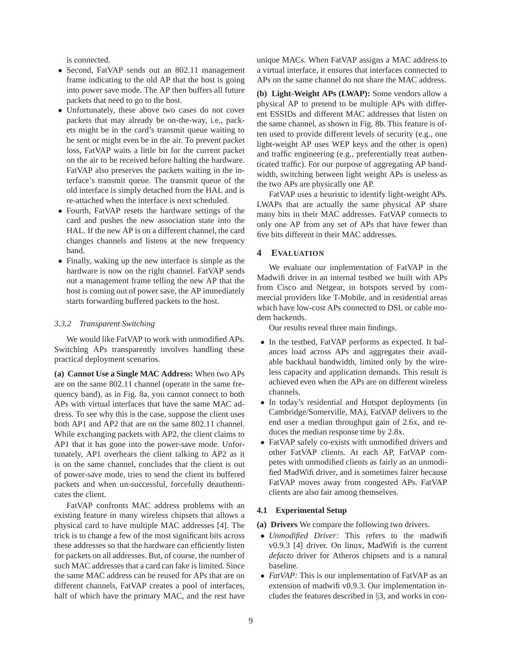is connected.

- Second, FatVAP sends out an 802.11 management frame indicating to the old AP that the host is going into power save mode. The AP then buffers all future packets that need to go to the host.
- Unfortunately, these above two cases do not cover packets that may already be on-the-way, i.e., packets might be in the card's transmit queue waiting to be sent or might even be in the air. To prevent packet loss, FatVAP waits a little bit for the current packet on the air to be received before halting the hardware. FatVAP also preserves the packets waiting in the interface's transmit queue. The transmit queue of the old interface is simply detached from the HAL and is re-attached when the interface is next scheduled.
- Fourth, FatVAP resets the hardware settings of the card and pushes the new association state into the HAL. If the new AP is on a different channel, the card changes channels and listens at the new frequency band.
- Finally, waking up the new interface is simple as the hardware is now on the right channel. FatVAP sends out a management frame telling the new AP that the host is coming out of power save, the AP immediately starts forwarding buffered packets to the host.

#### *3.3.2 Transparent Switching*

We would like FatVAP to work with unmodified APs. Switching APs transparently involves handling these practical deployment scenarios.

**(a) Cannot Use a Single MAC Address:** When two APs are on the same 802.11 channel (operate in the same frequency band), as in Fig. 8a, you cannot connect to both APs with virtual interfaces that have the same MAC address. To see why this is the case, suppose the client uses both AP1 and AP2 that are on the same 802.11 channel. While exchanging packets with AP2, the client claims to AP1 that it has gone into the power-save mode. Unfortunately, AP1 overhears the client talking to AP2 as it is on the same channel, concludes that the client is out of power-save mode, tries to send the client its buffered packets and when un-successful, forcefully deauthenticates the client.

FatVAP confronts MAC address problems with an existing feature in many wireless chipsets that allows a physical card to have multiple MAC addresses [4]. The trick is to change a few of the most significant bits across these addresses so that the hardware can efficiently listen for packets on all addresses. But, of course, the number of such MAC addresses that a card can fake is limited. Since the same MAC address can be reused for APs that are on different channels, FatVAP creates a pool of interfaces, half of which have the primary MAC, and the rest have unique MACs. When FatVAP assigns a MAC address to a virtual interface, it ensures that interfaces connected to APs on the same channel do not share the MAC address.

**(b) Light-Weight APs (LWAP):** Some vendors allow a physical AP to pretend to be multiple APs with different ESSIDs and different MAC addresses that listen on the same channel, as shown in Fig. 8b. This feature is often used to provide different levels of security (e.g., one light-weight AP uses WEP keys and the other is open) and traffic engineering (e.g., preferentially treat authenticated traffic). For our purpose of aggregating AP bandwidth, switching between light weight APs is useless as the two APs are physically one AP.

FatVAP uses a heuristic to identify light-weight APs. LWAPs that are actually the same physical AP share many bits in their MAC addresses. FatVAP connects to only one AP from any set of APs that have fewer than five bits different in their MAC addresses.

# **4 EVALUATION**

We evaluate our implementation of FatVAP in the Madwifi driver in an internal testbed we built with APs from Cisco and Netgear, in hotspots served by commercial providers like T-Mobile, and in residential areas which have low-cost APs connected to DSL or cable modem backends.

Our results reveal three main findings.

- In the testbed, FatVAP performs as expected. It balances load across APs and aggregates their available backhaul bandwidth, limited only by the wireless capacity and application demands. This result is achieved even when the APs are on different wireless channels.
- In today's residential and Hotspot deployments (in Cambridge/Somerville, MA), FatVAP delivers to the end user a median throughput gain of 2.6x, and reduces the median response time by 2.8x.
- FatVAP safely co-exists with unmodified drivers and other FatVAP clients. At each AP, FatVAP competes with unmodified clients as fairly as an unmodified MadWifi driver, and is sometimes fairer because FatVAP moves away from congested APs. FatVAP clients are also fair among themselves.

## **4.1 Experimental Setup**

**(a) Drivers** We compare the following two drivers.

- *Unmodified Driver:* This refers to the madwifi v0.9.3 [4] driver. On linux, MadWifi is the current *defacto* driver for Atheros chipsets and is a natural baseline.
- *FatVAP*: This is our implementation of FatVAP as an extension of madwifi v0.9.3. Our implementation includes the features described in §3, and works in con-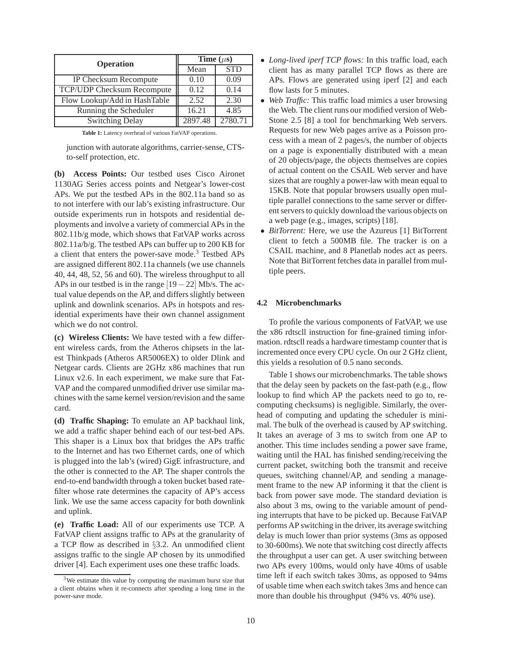| <b>Operation</b>                  | Time $(\mu s)$ |            |  |  |
|-----------------------------------|----------------|------------|--|--|
|                                   | Mean           | <b>STD</b> |  |  |
| IP Checksum Recompute             | 0.10           | 0.09       |  |  |
| <b>TCP/UDP Checksum Recompute</b> | 0.12           | 0.14       |  |  |
| Flow Lookup/Add in HashTable      | 2.52           | 2.30       |  |  |
| Running the Scheduler             | 16.21          | 4.85       |  |  |
| <b>Switching Delay</b>            | 2897.48        | 2780.71    |  |  |

**Table 1:** Latency overhead of various FatVAP operations.

junction with autorate algorithms, carrier-sense, CTSto-self protection, etc.

**(b) Access Points:** Our testbed uses Cisco Aironet 1130AG Series access points and Netgear's lower-cost APs. We put the testbed APs in the 802.11a band so as to not interfere with our lab's existing infrastructure. Our outside experiments run in hotspots and residential deployments and involve a variety of commercial APs in the 802.11b/g mode, which shows that FatVAP works across 802.11a/b/g. The testbed APs can buffer up to 200 KB for a client that enters the power-save mode.<sup>3</sup> Testbed APs are assigned different 802.11a channels (we use channels 40, 44, 48, 52, 56 and 60). The wireless throughput to all APs in our testbed is in the range  $[19 - 22]$  Mb/s. The actual value depends on the AP, and differs slightly between uplink and downlink scenarios. APs in hotspots and residential experiments have their own channel assignment which we do not control.

**(c) Wireless Clients:** We have tested with a few different wireless cards, from the Atheros chipsets in the latest Thinkpads (Atheros AR5006EX) to older Dlink and Netgear cards. Clients are 2GHz x86 machines that run Linux v2.6. In each experiment, we make sure that Fat-VAP and the compared unmodified driver use similar machines with the same kernel version/revision and the same card.

**(d) Traffic Shaping:** To emulate an AP backhaul link, we add a traffic shaper behind each of our test-bed APs. This shaper is a Linux box that bridges the APs traffic to the Internet and has two Ethernet cards, one of which is plugged into the lab's (wired) GigE infrastructure, and the other is connected to the AP. The shaper controls the end-to-end bandwidth through a token bucket based ratefilter whose rate determines the capacity of AP's access link. We use the same access capacity for both downlink and uplink.

**(e) Traffic Load:** All of our experiments use TCP. A FatVAP client assigns traffic to APs at the granularity of a TCP flow as described in §3.2. An unmodified client assigns traffic to the single AP chosen by its unmodified driver [4]. Each experiment uses one these traffic loads.

- *Long-lived iperf TCP flows:* In this traffic load, each client has as many parallel TCP flows as there are APs. Flows are generated using iperf [2] and each flow lasts for 5 minutes.
- *Web Traffic:* This traffic load mimics a user browsing the Web. The client runs our modified version of Web-Stone 2.5 [8] a tool for benchmarking Web servers. Requests for new Web pages arrive as a Poisson process with a mean of 2 pages/s, the number of objects on a page is exponentially distributed with a mean of 20 objects/page, the objects themselves are copies of actual content on the CSAIL Web server and have sizes that are roughly a power-law with mean equal to 15KB. Note that popular browsers usually open multiple parallel connections to the same server or different servers to quickly download the various objects on a web page (e.g., images, scripts) [18].
- *BitTorrent:* Here, we use the Azureus [1] BitTorrent client to fetch a 500MB file. The tracker is on a CSAIL machine, and 8 Planetlab nodes act as peers. Note that BitTorrent fetches data in parallel from multiple peers.

#### **4.2 Microbenchmarks**

To profile the various components of FatVAP, we use the x86 rdtscll instruction for fine-grained timing information. rdtscll reads a hardware timestamp counter that is incremented once every CPU cycle. On our 2 GHz client, this yields a resolution of 0.5 nano seconds.

Table 1 shows our microbenchmarks. The table shows that the delay seen by packets on the fast-path (e.g., flow lookup to find which AP the packets need to go to, recomputing checksums) is negligible. Similarly, the overhead of computing and updating the scheduler is minimal. The bulk of the overhead is caused by AP switching. It takes an average of 3 ms to switch from one AP to another. This time includes sending a power save frame, waiting until the HAL has finished sending/receiving the current packet, switching both the transmit and receive queues, switching channel/AP, and sending a management frame to the new AP informing it that the client is back from power save mode. The standard deviation is also about 3 ms, owing to the variable amount of pending interrupts that have to be picked up. Because FatVAP performs AP switching in the driver, its average switching delay is much lower than prior systems (3ms as opposed to 30-600ms). We note that switching cost directly affects the throughput a user can get. A user switching between two APs every 100ms, would only have 40ms of usable time left if each switch takes 30ms, as opposed to 94ms of usable time when each switch takes 3ms and hence can more than double his throughput (94% vs. 40% use).

<sup>3</sup>We estimate this value by computing the maximum burst size that a client obtains when it re-connects after spending a long time in the power-save mode.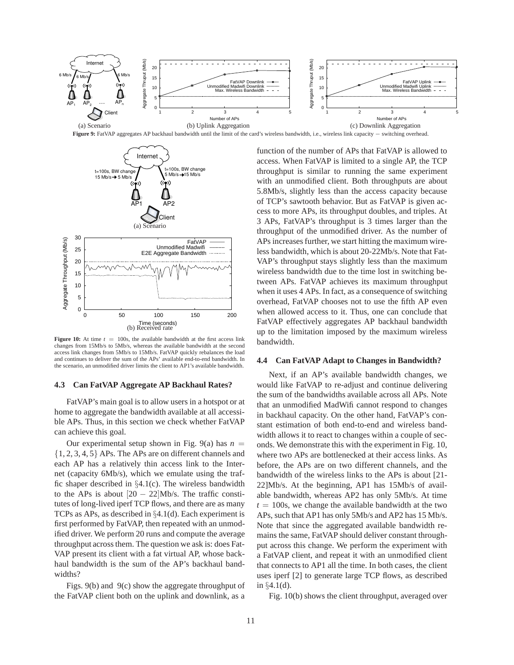



**Figure 10:** At time  $t = 100s$ , the available bandwidth at the first access link changes from 15Mb/s to 5Mb/s, whereas the available bandwidth at the second access link changes from 5Mb/s to 15Mb/s. FatVAP quickly rebalances the load and continues to deliver the sum of the APs' available end-to-end bandwidth. In the scenario, an unmodified driver limits the client to AP1's available bandwidth.

#### **4.3 Can FatVAP Aggregate AP Backhaul Rates?**

FatVAP's main goal is to allow users in a hotspot or at home to aggregate the bandwidth available at all accessible APs. Thus, in this section we check whether FatVAP can achieve this goal.

Our experimental setup shown in Fig.  $9(a)$  has  $n =$ {1, 2, 3, 4, 5} APs. The APs are on different channels and each AP has a relatively thin access link to the Internet (capacity 6Mb/s), which we emulate using the traffic shaper described in  $\S4.1(c)$ . The wireless bandwidth to the APs is about  $[20 - 22]$ Mb/s. The traffic constitutes of long-lived iperf TCP flows, and there are as many TCPs as APs, as described in §4.1(d). Each experiment is first performed by FatVAP, then repeated with an unmodified driver. We perform 20 runs and compute the average throughput across them. The question we ask is: does Fat-VAP present its client with a fat virtual AP, whose backhaul bandwidth is the sum of the AP's backhaul bandwidths?

Figs. 9(b) and 9(c) show the aggregate throughput of the FatVAP client both on the uplink and downlink, as a

function of the number of APs that FatVAP is allowed to access. When FatVAP is limited to a single AP, the TCP throughput is similar to running the same experiment with an unmodified client. Both throughputs are about 5.8Mb/s, slightly less than the access capacity because of TCP's sawtooth behavior. But as FatVAP is given access to more APs, its throughput doubles, and triples. At 3 APs, FatVAP's throughput is 3 times larger than the throughput of the unmodified driver. As the number of APs increases further, we start hitting the maximum wireless bandwidth, which is about 20-22Mb/s. Note that Fat-VAP's throughput stays slightly less than the maximum wireless bandwidth due to the time lost in switching between APs. FatVAP achieves its maximum throughput when it uses 4 APs. In fact, as a consequence of switching overhead, FatVAP chooses not to use the fifth AP even when allowed access to it. Thus, one can conclude that FatVAP effectively aggregates AP backhaul bandwidth up to the limitation imposed by the maximum wireless bandwidth.

#### **4.4 Can FatVAP Adapt to Changes in Bandwidth?**

Next, if an AP's available bandwidth changes, we would like FatVAP to re-adjust and continue delivering the sum of the bandwidths available across all APs. Note that an unmodified MadWifi cannot respond to changes in backhaul capacity. On the other hand, FatVAP's constant estimation of both end-to-end and wireless bandwidth allows it to react to changes within a couple of seconds. We demonstrate this with the experiment in Fig. 10, where two APs are bottlenecked at their access links. As before, the APs are on two different channels, and the bandwidth of the wireless links to the APs is about [21- 22]Mb/s. At the beginning, AP1 has 15Mb/s of available bandwidth, whereas AP2 has only 5Mb/s. At time  $t = 100$ s, we change the available bandwidth at the two APs, such that AP1 has only 5Mb/s and AP2 has 15 Mb/s. Note that since the aggregated available bandwidth remains the same, FatVAP should deliver constant throughput across this change. We perform the experiment with a FatVAP client, and repeat it with an unmodified client that connects to AP1 all the time. In both cases, the client uses iperf [2] to generate large TCP flows, as described in §4.1(d).

Fig. 10(b) shows the client throughput, averaged over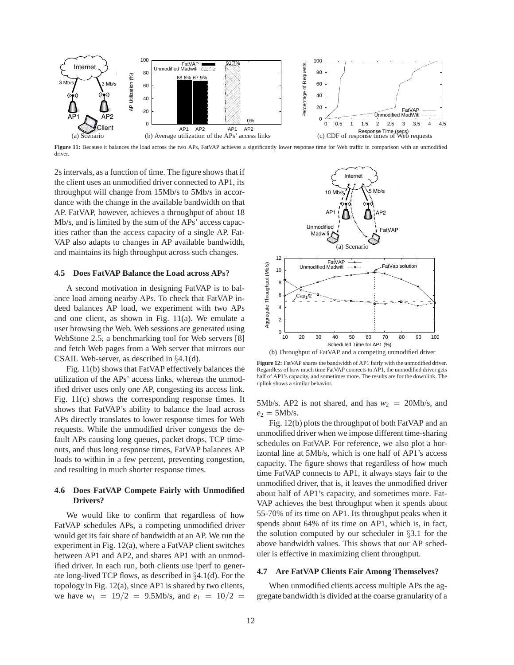

Figure 11: Because it balances the load across the two APs, FatVAP achieves a significantly lower response time for Web traffic in comparison with an unmodified driver.

2s intervals, as a function of time. The figure shows that if the client uses an unmodified driver connected to AP1, its throughput will change from 15Mb/s to 5Mb/s in accordance with the change in the available bandwidth on that AP. FatVAP, however, achieves a throughput of about 18 Mb/s, and is limited by the sum of the APs' access capacities rather than the access capacity of a single AP. Fat-VAP also adapts to changes in AP available bandwidth, and maintains its high throughput across such changes.

## **4.5 Does FatVAP Balance the Load across APs?**

A second motivation in designing FatVAP is to balance load among nearby APs. To check that FatVAP indeed balances AP load, we experiment with two APs and one client, as shown in Fig. 11(a). We emulate a user browsing the Web. Web sessions are generated using WebStone 2.5, a benchmarking tool for Web servers [8] and fetch Web pages from a Web server that mirrors our CSAIL Web-server, as described in §4.1(d).

Fig. 11(b) shows that FatVAP effectively balances the utilization of the APs' access links, whereas the unmodified driver uses only one AP, congesting its access link. Fig. 11(c) shows the corresponding response times. It shows that FatVAP's ability to balance the load across APs directly translates to lower response times for Web requests. While the unmodified driver congests the default APs causing long queues, packet drops, TCP timeouts, and thus long response times, FatVAP balances AP loads to within in a few percent, preventing congestion, and resulting in much shorter response times.

# **4.6 Does FatVAP Compete Fairly with Unmodified Drivers?**

We would like to confirm that regardless of how FatVAP schedules APs, a competing unmodified driver would get its fair share of bandwidth at an AP. We run the experiment in Fig. 12(a), where a FatVAP client switches between AP1 and AP2, and shares AP1 with an unmodified driver. In each run, both clients use iperf to generate long-lived TCP flows, as described in §4.1(d). For the topology in Fig. 12(a), since AP1 is shared by two clients, we have  $w_1 = 19/2 = 9.5$ Mb/s, and  $e_1 = 10/2 = 1$ 



(b) Throughput of FatVAP and a competing unmodified driver

**Figure 12:** FatVAP shares the bandwidth of AP1 fairly with the unmodified driver. Regardless of how much time FatVAP connects to AP1, the unmodified driver gets half of AP1's capacity, and sometimes more. The results are for the downlink. The uplink shows a similar behavior.

5Mb/s. AP2 is not shared, and has  $w_2 = 20$ Mb/s, and  $e_2 = 5$ Mb/s.

Fig. 12(b) plots the throughput of both FatVAP and an unmodified driver when we impose different time-sharing schedules on FatVAP. For reference, we also plot a horizontal line at 5Mb/s, which is one half of AP1's access capacity. The figure shows that regardless of how much time FatVAP connects to AP1, it always stays fair to the unmodified driver, that is, it leaves the unmodified driver about half of AP1's capacity, and sometimes more. Fat-VAP achieves the best throughput when it spends about 55-70% of its time on AP1. Its throughput peaks when it spends about 64% of its time on AP1, which is, in fact, the solution computed by our scheduler in §3.1 for the above bandwidth values. This shows that our AP scheduler is effective in maximizing client throughput.

#### **4.7 Are FatVAP Clients Fair Among Themselves?**

When unmodified clients access multiple APs the aggregate bandwidth is divided at the coarse granularity of a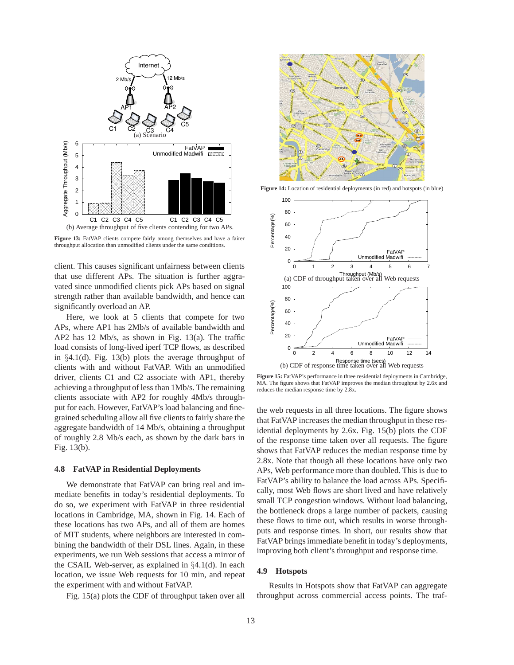

**Figure 13:** FatVAP clients compete fairly among themselves and have a fairer throughput allocation than unmodified clients under the same conditions.

client. This causes significant unfairness between clients that use different APs. The situation is further aggravated since unmodified clients pick APs based on signal strength rather than available bandwidth, and hence can significantly overload an AP.

Here, we look at 5 clients that compete for two APs, where AP1 has 2Mb/s of available bandwidth and AP2 has 12 Mb/s, as shown in Fig. 13(a). The traffic load consists of long-lived iperf TCP flows, as described in §4.1(d). Fig. 13(b) plots the average throughput of clients with and without FatVAP. With an unmodified driver, clients C1 and C2 associate with AP1, thereby achieving a throughput of less than 1Mb/s. The remaining clients associate with AP2 for roughly 4Mb/s throughput for each. However, FatVAP's load balancing and finegrained scheduling allow all five clients to fairly share the aggregate bandwidth of 14 Mb/s, obtaining a throughput of roughly 2.8 Mb/s each, as shown by the dark bars in Fig. 13(b).

#### **4.8 FatVAP in Residential Deployments**

We demonstrate that FatVAP can bring real and immediate benefits in today's residential deployments. To do so, we experiment with FatVAP in three residential locations in Cambridge, MA, shown in Fig. 14. Each of these locations has two APs, and all of them are homes of MIT students, where neighbors are interested in combining the bandwidth of their DSL lines. Again, in these experiments, we run Web sessions that access a mirror of the CSAIL Web-server, as explained in §4.1(d). In each location, we issue Web requests for 10 min, and repeat the experiment with and without FatVAP.

Fig. 15(a) plots the CDF of throughput taken over all



**Figure 14:** Location of residential deployments (in red) and hotspots (in blue)



**Figure 15:** FatVAP's performance in three residential deployments in Cambridge, MA. The figure shows that FatVAP improves the median throughput by 2.6x and reduces the median response time by 2.8x.

the web requests in all three locations. The figure shows that FatVAP increases the median throughput in these residential deployments by 2.6x. Fig. 15(b) plots the CDF of the response time taken over all requests. The figure shows that FatVAP reduces the median response time by 2.8x. Note that though all these locations have only two APs, Web performance more than doubled. This is due to FatVAP's ability to balance the load across APs. Specifically, most Web flows are short lived and have relatively small TCP congestion windows. Without load balancing, the bottleneck drops a large number of packets, causing these flows to time out, which results in worse throughputs and response times. In short, our results show that FatVAP brings immediate benefit in today's deployments, improving both client's throughput and response time.

#### **4.9 Hotspots**

Results in Hotspots show that FatVAP can aggregate throughput across commercial access points. The traf-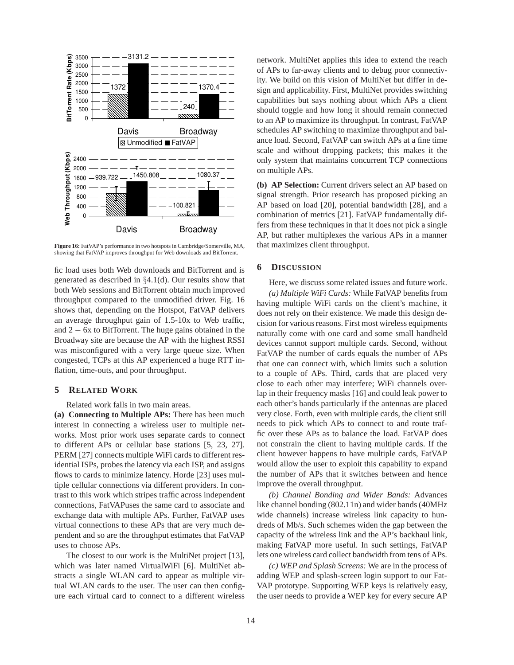

**Figure 16:** FatVAP's performance in two hotspots in Cambridge/Somerville, MA, showing that FatVAP improves throughput for Web downloads and BitTorrent.

fic load uses both Web downloads and BitTorrent and is generated as described in  $\S 4.1$ (d). Our results show that both Web sessions and BitTorrent obtain much improved throughput compared to the unmodified driver. Fig. 16 shows that, depending on the Hotspot, FatVAP delivers an average throughput gain of 1.5-10x to Web traffic, and 2 − 6x to BitTorrent. The huge gains obtained in the Broadway site are because the AP with the highest RSSI was misconfigured with a very large queue size. When congested, TCPs at this AP experienced a huge RTT inflation, time-outs, and poor throughput.

## **5 RELATED WORK**

Related work falls in two main areas.

**(a) Connecting to Multiple APs:** There has been much interest in connecting a wireless user to multiple networks. Most prior work uses separate cards to connect to different APs or cellular base stations [5, 23, 27]. PERM [27] connects multiple WiFi cards to different residential ISPs, probes the latency via each ISP, and assigns flows to cards to minimize latency. Horde [23] uses multiple cellular connections via different providers. In contrast to this work which stripes traffic across independent connections, FatVAPuses the same card to associate and exchange data with multiple APs. Further, FatVAP uses virtual connections to these APs that are very much dependent and so are the throughput estimates that FatVAP uses to choose APs.

The closest to our work is the MultiNet project [13], which was later named VirtualWiFi [6]. MultiNet abstracts a single WLAN card to appear as multiple virtual WLAN cards to the user. The user can then configure each virtual card to connect to a different wireless

network. MultiNet applies this idea to extend the reach of APs to far-away clients and to debug poor connectivity. We build on this vision of MultiNet but differ in design and applicability. First, MultiNet provides switching capabilities but says nothing about which APs a client should toggle and how long it should remain connected to an AP to maximize its throughput. In contrast, FatVAP schedules AP switching to maximize throughput and balance load. Second, FatVAP can switch APs at a fine time scale and without dropping packets; this makes it the only system that maintains concurrent TCP connections on multiple APs.

**(b) AP Selection:** Current drivers select an AP based on signal strength. Prior research has proposed picking an AP based on load [20], potential bandwidth [28], and a combination of metrics [21]. FatVAP fundamentally differs from these techniques in that it does not pick a single AP, but rather multiplexes the various APs in a manner that maximizes client throughput.

#### **6 DISCUSSION**

Here, we discuss some related issues and future work. *(a) Multiple WiFi Cards:* While FatVAP benefits from having multiple WiFi cards on the client's machine, it does not rely on their existence. We made this design decision for various reasons. First most wireless equipments naturally come with one card and some small handheld devices cannot support multiple cards. Second, without FatVAP the number of cards equals the number of APs that one can connect with, which limits such a solution to a couple of APs. Third, cards that are placed very close to each other may interfere; WiFi channels overlap in their frequency masks [16] and could leak power to each other's bands particularly if the antennas are placed very close. Forth, even with multiple cards, the client still needs to pick which APs to connect to and route traffic over these APs as to balance the load. FatVAP does not constrain the client to having multiple cards. If the client however happens to have multiple cards, FatVAP would allow the user to exploit this capability to expand the number of APs that it switches between and hence improve the overall throughput.

*(b) Channel Bonding and Wider Bands:* Advances like channel bonding (802.11n) and wider bands (40MHz wide channels) increase wireless link capacity to hundreds of Mb/s. Such schemes widen the gap between the capacity of the wireless link and the AP's backhaul link, making FatVAP more useful. In such settings, FatVAP lets one wireless card collect bandwidth from tens of APs.

*(c) WEP and Splash Screens:* We are in the process of adding WEP and splash-screen login support to our Fat-VAP prototype. Supporting WEP keys is relatively easy, the user needs to provide a WEP key for every secure AP